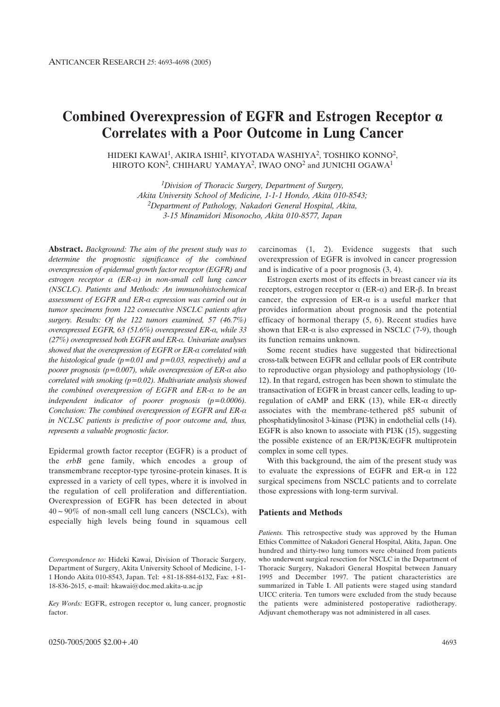# Combined Overexpression of EGFR and Estrogen Receptor  $\alpha$ **Correlates with a Poor Outcome in Lung Cancer**

HIDEKI KAWAI<sup>1</sup>, AKIRA ISHII<sup>2</sup>, KIYOTADA WASHIYA<sup>2</sup>, TOSHIKO KONNO<sup>2</sup>, HIROTO KON<sup>2</sup>, CHIHARU YAMAYA<sup>2</sup>, IWAO ONO<sup>2</sup> and JUNICHI OGAWA<sup>1</sup>

> *1Division of Thoracic Surgery, Department of Surgery, Akita University School of Medicine, 1-1-1 Hondo, Akita 010-8543; 2Department of Pathology, Nakadori General Hospital, Akita, 3-15 Minamidori Misonocho, Akita 010-8577, Japan*

**Abstract.** *Background: The aim of the present study was to determine the prognostic significance of the combined overexpression of epidermal growth factor receptor (EGFR) and*  $estrogen$  receptor  $\alpha$  (ER- $\alpha$ ) in non-small cell lung cancer *(NSCLC). Patients and Methods: An immunohistochemical* assessment of EGFR and ER- $\alpha$  expression was carried out in *tumor specimens from 122 consecutive NSCLC patients after surgery. Results: Of the 122 tumors examined, 57 (46.7%) overexpressed EGFR, 63 (51.6%) overexpressed ER-a, while 33 (27%) overexpressed both EGFR and ER-* $\alpha$ *. Univariate analyses* showed that the overexpression of EGFR or ER-a correlated with *the histological grade (p=0.01 and p=0.03, respectively) and a poorer prognosis (p=0.007), while overexpression of ER-* $\alpha$  *also correlated with smoking (p=0.02). Multivariate analysis showed* the combined overexpression of EGFR and ER- $\alpha$  to be an *independent indicator of poorer prognosis (p=0.0006).* Conclusion: The combined overexpression of EGFR and ER- $\alpha$ *in NCLSC patients is predictive of poor outcome and, thus, represents a valuable prognostic factor.*

Epidermal growth factor receptor (EGFR) is a product of the *erbB* gene family, which encodes a group of transmembrane receptor-type tyrosine-protein kinases. It is expressed in a variety of cell types, where it is involved in the regulation of cell proliferation and differentiation. Overexpression of EGFR has been detected in about  $40 \sim 90\%$  of non-small cell lung cancers (NSCLCs), with especially high levels being found in squamous cell

 $Key Words: EGFR, estrogen receptor  $\alpha$ , lung cancer, prognostic$ factor.

carcinomas (1, 2). Evidence suggests that such overexpression of EGFR is involved in cancer progression and is indicative of a poor prognosis (3, 4).

Estrogen exerts most of its effects in breast cancer *via* its receptors, estrogen receptor  $\alpha$  (ER- $\alpha$ ) and ER- $\beta$ . In breast cancer, the expression of  $ER-\alpha$  is a useful marker that provides information about prognosis and the potential efficacy of hormonal therapy (5, 6). Recent studies have shown that ER- $\alpha$  is also expressed in NSCLC (7-9), though its function remains unknown.

Some recent studies have suggested that bidirectional cross-talk between EGFR and cellular pools of ER contribute to reproductive organ physiology and pathophysiology (10- 12). In that regard, estrogen has been shown to stimulate the transactivation of EGFR in breast cancer cells, leading to upregulation of cAMP and ERK (13), while ER- $\alpha$  directly associates with the membrane-tethered p85 subunit of phosphatidylinositol 3-kinase (PI3K) in endothelial cells (14). EGFR is also known to associate with PI3K (15), suggesting the possible existence of an ER/PI3K/EGFR multiprotein complex in some cell types.

With this background, the aim of the present study was to evaluate the expressions of EGFR and ER- $\alpha$  in 122 surgical specimens from NSCLC patients and to correlate those expressions with long-term survival.

### **Patients and Methods**

*Patients.* This retrospective study was approved by the Human Ethics Committee of Nakadori General Hospital, Akita, Japan. One hundred and thirty-two lung tumors were obtained from patients who underwent surgical resection for NSCLC in the Department of Thoracic Surgery, Nakadori General Hospital between January 1995 and December 1997. The patient characteristics are summarized in Table I. All patients were staged using standard UICC criteria. Ten tumors were excluded from the study because the patients were administered postoperative radiotherapy. Adjuvant chemotherapy was not administered in all cases.

*Correspondence to:* Hideki Kawai, Division of Thoracic Surgery, Department of Surgery, Akita University School of Medicine, 1-1- 1 Hondo Akita 010-8543, Japan. Tel: +81-18-884-6132, Fax: +81- 18-836-2615, e-mail: hkawai@doc.med.akita-u.ac.jp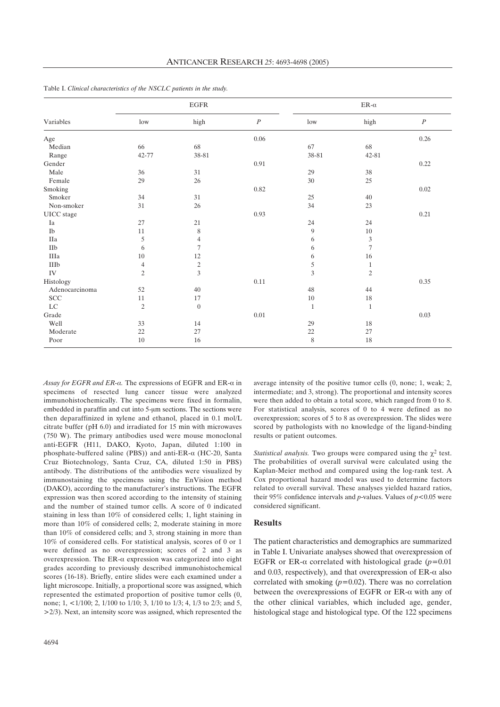| Variables            | $_{\rm EGFR}$  |                  |          | ER- $\alpha$ |                |          |
|----------------------|----------------|------------------|----------|--------------|----------------|----------|
|                      | low            | high             | $\cal P$ | low          | high           | $\cal P$ |
| Age                  |                |                  | $0.06\,$ |              |                | 0.26     |
| Median               | 66             | 68               |          | 67           | 68             |          |
| Range                | 42-77          | 38-81            |          | 38-81        | 42-81          |          |
| Gender               |                |                  | $0.91\,$ |              |                | 0.22     |
| Male                 | 36             | $31\,$           |          | 29           | $38\,$         |          |
| Female               | 29             | 26               |          | 30           | 25             |          |
| Smoking              |                |                  | $0.82\,$ |              |                | 0.02     |
| Smoker               | 34             | 31               |          | 25           | 40             |          |
| Non-smoker           | $31\,$         | 26               |          | 34           | 23             |          |
| UICC stage           |                |                  | 0.93     |              |                | 0.21     |
| Ia                   | 27             | 21               |          | 24           | 24             |          |
| Ib                   | 11             | 8                |          | 9            | $10\,$         |          |
| IIa                  | 5              | $\overline{4}$   |          | 6            | 3              |          |
| $\rm IIb$            | 6              | $\overline{7}$   |          | 6            | 7              |          |
| IIIa                 | 10             | 12               |          | 6            | 16             |          |
| $\rm IIIb$           | $\overline{4}$ | $\sqrt{2}$       |          | 5            | $\mathbf{1}$   |          |
| ${\rm IV}$           | $\overline{c}$ | 3                |          | 3            | $\overline{c}$ |          |
| Histology            |                |                  | $0.11\,$ |              |                | 0.35     |
| Adenocarcinoma       | 52             | 40               |          | 48           | 44             |          |
| $\operatorname{SCC}$ | 11             | 17               |          | 10           | $18\,$         |          |
| ${\rm LC}$           | $\sqrt{2}$     | $\boldsymbol{0}$ |          | 1            | $\mathbf{1}$   |          |
| Grade                |                |                  | $0.01\,$ |              |                | 0.03     |
| Well                 | 33             | 14               |          | 29           | 18             |          |
| Moderate             | $22\,$         | 27               |          | 22           | 27             |          |
| Poor                 | 10             | 16               |          | 8            | 18             |          |

Table I. *Clinical characteristics of the NSCLC patients in the study.*

Assay for EGFR and ER- $\alpha$ . The expressions of EGFR and ER- $\alpha$  in specimens of resected lung cancer tissue were analyzed immunohistochemically. The specimens were fixed in formalin, embedded in paraffin and cut into 5-µm sections. The sections were then deparaffinized in xylene and ethanol, placed in 0.1 mol/L citrate buffer (pH 6.0) and irradiated for 15 min with microwaves (750 W). The primary antibodies used were mouse monoclonal anti-EGFR (H11, DAKO, Kyoto, Japan, diluted 1:100 in phosphate-buffered saline (PBS)) and anti-ER- $\alpha$  (HC-20, Santa Cruz Biotechnology, Santa Cruz, CA, diluted 1:50 in PBS) antibody. The distributions of the antibodies were visualized by immunostaining the specimens using the EnVision method (DAKO), according to the manufacturer's instructions. The EGFR expression was then scored according to the intensity of staining and the number of stained tumor cells. A score of 0 indicated staining in less than 10% of considered cells; 1, light staining in more than 10% of considered cells; 2, moderate staining in more than 10% of considered cells; and 3, strong staining in more than 10% of considered cells. For statistical analysis, scores of 0 or 1 were defined as no overexpression; scores of 2 and 3 as overexpression. The ER- $\alpha$  expression was categorized into eight grades according to previously described immunohistochemical scores (16-18). Briefly, entire slides were each examined under a light microscope. Initially, a proportional score was assigned, which represented the estimated proportion of positive tumor cells (0, none; 1, <1/100; 2, 1/100 to 1/10; 3, 1/10 to 1/3; 4, 1/3 to 2/3; and 5, >2/3). Next, an intensity score was assigned, which represented the

average intensity of the positive tumor cells (0, none; 1, weak; 2, intermediate; and 3, strong). The proportional and intensity scores were then added to obtain a total score, which ranged from 0 to 8. For statistical analysis, scores of 0 to 4 were defined as no overexpression; scores of 5 to 8 as overexpression. The slides were scored by pathologists with no knowledge of the ligand-binding results or patient outcomes.

*Statistical analysis.* Two groups were compared using the  $\chi^2$  test. The probabilities of overall survival were calculated using the Kaplan-Meier method and compared using the log-rank test. A Cox proportional hazard model was used to determine factors related to overall survival. These analyses yielded hazard ratios, their 95% confidence intervals and *p*-values. Values of  $p < 0.05$  were considered significant.

## **Results**

The patient characteristics and demographics are summarized in Table I. Univariate analyses showed that overexpression of EGFR or ER- $\alpha$  correlated with histological grade ( $p=0.01$ ) and 0.03, respectively), and that overexpression of  $ER-\alpha$  also correlated with smoking (*p=*0.02). There was no correlation between the overexpressions of EGFR or ER- $\alpha$  with any of the other clinical variables, which included age, gender, histological stage and histological type. Of the 122 specimens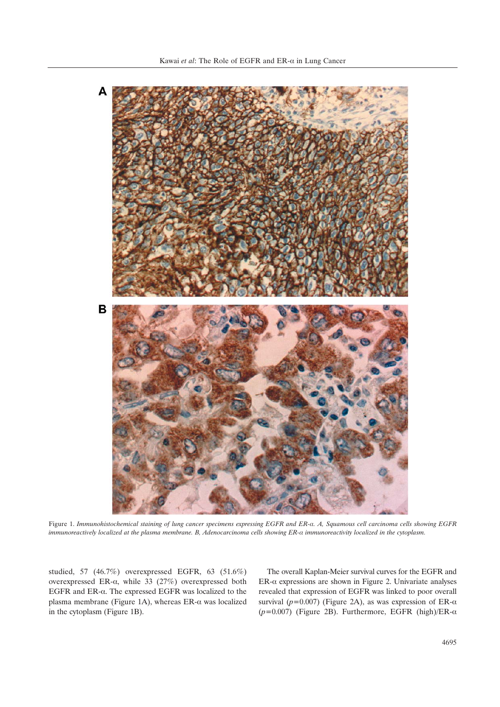

Figure 1. Immunohistochemical staining of lung cancer specimens expressing EGFR and ER-a. A, Squamous cell carcinoma cells showing EGFR immunoreactively localized at the plasma membrane. B, Adenocarcinoma cells showing ER-a immunoreactivity localized in the cytoplasm.

studied, 57 (46.7%) overexpressed EGFR, 63 (51.6%) overexpressed ER- $\alpha$ , while 33 (27%) overexpressed both EGFR and ER- $\alpha$ . The expressed EGFR was localized to the plasma membrane (Figure 1A), whereas ER- $\alpha$  was localized in the cytoplasm (Figure 1B).

The overall Kaplan-Meier survival curves for the EGFR and  $ER-\alpha$  expressions are shown in Figure 2. Univariate analyses revealed that expression of EGFR was linked to poor overall survival ( $p=0.007$ ) (Figure 2A), as was expression of ER- $\alpha$  $(p=0.007)$  (Figure 2B). Furthermore, EGFR (high)/ER- $\alpha$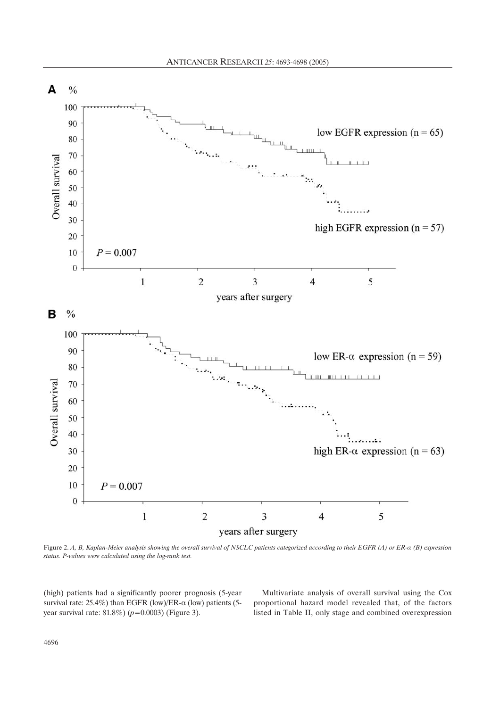

Figure 2. A, B, Kaplan-Meier analysis showing the overall survival of NSCLC patients categorized according to their EGFR (A) or ER- $\alpha$  (B) expression *status. P-values were calculated using the log-rank test.*

(high) patients had a significantly poorer prognosis (5-year survival rate:  $25.4\%$ ) than EGFR (low)/ER- $\alpha$  (low) patients (5year survival rate: 81.8%) (*p=*0.0003) (Figure 3).

Multivariate analysis of overall survival using the Cox proportional hazard model revealed that, of the factors listed in Table II, only stage and combined overexpression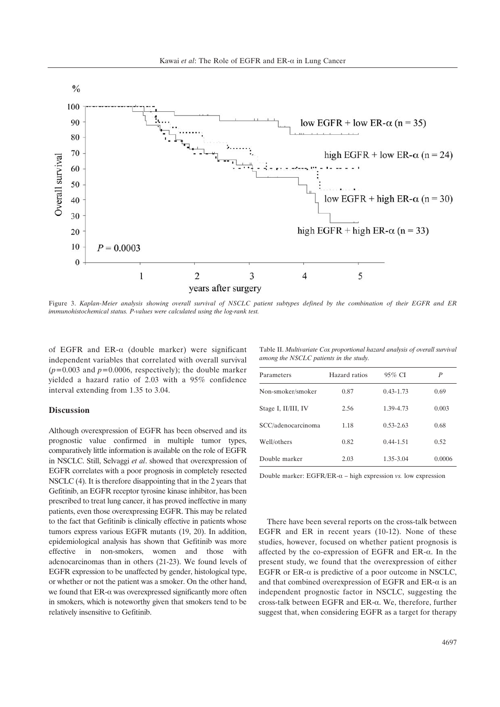

Figure 3. *Kaplan-Meier analysis showing overall survival of NSCLC patient subtypes defined by the combination of their EGFR and ER immunohistochemical status. P-values were calculated using the log-rank test.*

of EGFR and ER- $\alpha$  (double marker) were significant independent variables that correlated with overall survival (*p=*0.003 and *p=*0.0006, respectively); the double marker yielded a hazard ratio of 2.03 with a 95% confidence interval extending from 1.35 to 3.04.

# **Discussion**

Although overexpression of EGFR has been observed and its prognostic value confirmed in multiple tumor types, comparatively little information is available on the role of EGFR in NSCLC. Still, Selvaggi *et al*. showed that overexpression of EGFR correlates with a poor prognosis in completely resected NSCLC (4). It is therefore disappointing that in the 2 years that Gefitinib, an EGFR receptor tyrosine kinase inhibitor, has been prescribed to treat lung cancer, it has proved ineffective in many patients, even those overexpressing EGFR. This may be related to the fact that Gefitinib is clinically effective in patients whose tumors express various EGFR mutants (19, 20). In addition, epidemiological analysis has shown that Gefitinib was more effective in non-smokers, women and those with adenocarcinomas than in others (21-23). We found levels of EGFR expression to be unaffected by gender, histological type, or whether or not the patient was a smoker. On the other hand, we found that  $ER-\alpha$  was overexpressed significantly more often in smokers, which is noteworthy given that smokers tend to be relatively insensitive to Gefitinib.

Table II. *Multivariate Cox proportional hazard analysis of overall survival among the NSCLC patients in the study.* 

| Parameters          | Hazard ratios | 95% CI        | P      |
|---------------------|---------------|---------------|--------|
| Non-smoker/smoker   | 0.87          | $0.43 - 1.73$ | 0.69   |
| Stage I, II/III, IV | 2.56          | 1.39-4.73     | 0.003  |
| SCC/adenocarcinoma  | 1.18          | $0.53 - 2.63$ | 0.68   |
| Well/others         | 0.82          | $0.44 - 1.51$ | 0.52   |
| Double marker       | 2.03          | 1.35-3.04     | 0.0006 |

Double marker:  $EGFR/ER-\alpha - high expression vs. low expression$ 

There have been several reports on the cross-talk between EGFR and ER in recent years (10-12). None of these studies, however, focused on whether patient prognosis is affected by the co-expression of EGFR and ER- $\alpha$ . In the present study, we found that the overexpression of either EGFR or ER- $\alpha$  is predictive of a poor outcome in NSCLC, and that combined overexpression of EGFR and  $ER-\alpha$  is an independent prognostic factor in NSCLC, suggesting the cross-talk between EGFR and ER- $\alpha$ . We, therefore, further suggest that, when considering EGFR as a target for therapy